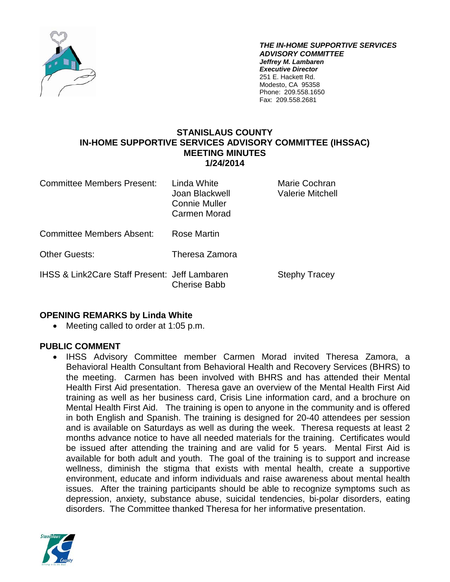

*THE IN-HOME SUPPORTIVE SERVICES ADVISORY COMMITTEE Jeffrey M. Lambaren Executive Director* 251 E. Hackett Rd. Modesto, CA 95358 Phone: 209.558.1650 Fax: 209.558.2681

### **STANISLAUS COUNTY IN-HOME SUPPORTIVE SERVICES ADVISORY COMMITTEE (IHSSAC) MEETING MINUTES 1/24/2014**

Committee Members Present: Linda White Marie Cochran Joan Blackwell Valerie Mitchell Connie Muller Carmen Morad Committee Members Absent: Rose Martin Other Guests: Theresa Zamora IHSS & Link2Care Staff Present: Jeff Lambaren Stephy Tracey Cherise Babb

### **OPENING REMARKS by Linda White**

• Meeting called to order at 1:05 p.m.

#### **PUBLIC COMMENT**

• IHSS Advisory Committee member Carmen Morad invited Theresa Zamora, a Behavioral Health Consultant from Behavioral Health and Recovery Services (BHRS) to the meeting. Carmen has been involved with BHRS and has attended their Mental Health First Aid presentation. Theresa gave an overview of the Mental Health First Aid training as well as her business card, Crisis Line information card, and a brochure on Mental Health First Aid. The training is open to anyone in the community and is offered in both English and Spanish. The training is designed for 20-40 attendees per session and is available on Saturdays as well as during the week. Theresa requests at least 2 months advance notice to have all needed materials for the training. Certificates would be issued after attending the training and are valid for 5 years. Mental First Aid is available for both adult and youth. The goal of the training is to support and increase wellness, diminish the stigma that exists with mental health, create a supportive environment, educate and inform individuals and raise awareness about mental health issues. After the training participants should be able to recognize symptoms such as depression, anxiety, substance abuse, suicidal tendencies, bi-polar disorders, eating disorders. The Committee thanked Theresa for her informative presentation.

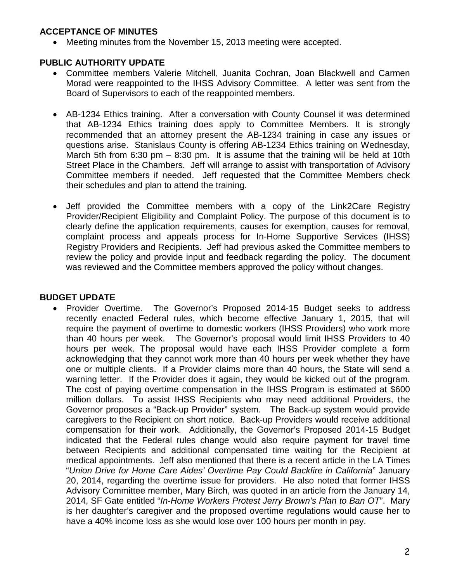### **ACCEPTANCE OF MINUTES**

• Meeting minutes from the November 15, 2013 meeting were accepted.

# **PUBLIC AUTHORITY UPDATE**

- Committee members Valerie Mitchell, Juanita Cochran, Joan Blackwell and Carmen Morad were reappointed to the IHSS Advisory Committee. A letter was sent from the Board of Supervisors to each of the reappointed members.
- AB-1234 Ethics training. After a conversation with County Counsel it was determined that AB-1234 Ethics training does apply to Committee Members. It is strongly recommended that an attorney present the AB-1234 training in case any issues or questions arise. Stanislaus County is offering AB-1234 Ethics training on Wednesday, March 5th from 6:30 pm – 8:30 pm. It is assume that the training will be held at 10th Street Place in the Chambers. Jeff will arrange to assist with transportation of Advisory Committee members if needed. Jeff requested that the Committee Members check their schedules and plan to attend the training.
- Jeff provided the Committee members with a copy of the Link2Care Registry Provider/Recipient Eligibility and Complaint Policy. The purpose of this document is to clearly define the application requirements, causes for exemption, causes for removal, complaint process and appeals process for In-Home Supportive Services (IHSS) Registry Providers and Recipients. Jeff had previous asked the Committee members to review the policy and provide input and feedback regarding the policy. The document was reviewed and the Committee members approved the policy without changes.

# **BUDGET UPDATE**

• Provider Overtime. The Governor's Proposed 2014-15 Budget seeks to address recently enacted Federal rules, which become effective January 1, 2015, that will require the payment of overtime to domestic workers (IHSS Providers) who work more than 40 hours per week. The Governor's proposal would limit IHSS Providers to 40 hours per week. The proposal would have each IHSS Provider complete a form acknowledging that they cannot work more than 40 hours per week whether they have one or multiple clients. If a Provider claims more than 40 hours, the State will send a warning letter. If the Provider does it again, they would be kicked out of the program. The cost of paying overtime compensation in the IHSS Program is estimated at \$600 million dollars. To assist IHSS Recipients who may need additional Providers, the Governor proposes a "Back-up Provider" system. The Back-up system would provide caregivers to the Recipient on short notice. Back-up Providers would receive additional compensation for their work. Additionally, the Governor's Proposed 2014-15 Budget indicated that the Federal rules change would also require payment for travel time between Recipients and additional compensated time waiting for the Recipient at medical appointments. Jeff also mentioned that there is a recent article in the LA Times "*Union Drive for Home Care Aides' Overtime Pay Could Backfire in California*" January 20, 2014, regarding the overtime issue for providers. He also noted that former IHSS Advisory Committee member, Mary Birch, was quoted in an article from the January 14, 2014, SF Gate entitled "*In-Home Workers Protest Jerry Brown's Plan to Ban OT*". Mary is her daughter's caregiver and the proposed overtime regulations would cause her to have a 40% income loss as she would lose over 100 hours per month in pay.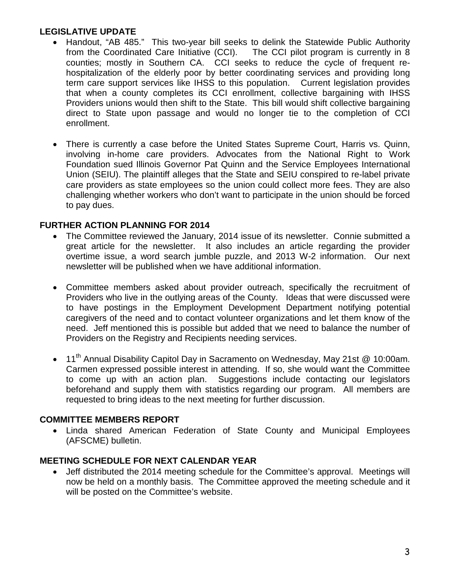# **LEGISLATIVE UPDATE**

- Handout, "AB 485." This two-year bill seeks to delink the Statewide Public Authority from the Coordinated Care Initiative (CCI). The CCI pilot program is currently in 8 counties; mostly in Southern CA. CCI seeks to reduce the cycle of frequent rehospitalization of the elderly poor by better coordinating services and providing long term care support services like IHSS to this population. Current legislation provides that when a county completes its CCI enrollment, collective bargaining with IHSS Providers unions would then shift to the State. This bill would shift collective bargaining direct to State upon passage and would no longer tie to the completion of CCI enrollment.
- There is currently a case before the United States Supreme Court, Harris vs. Quinn, involving in-home care providers. Advocates from the National Right to Work Foundation sued Illinois Governor Pat Quinn and the Service Employees International Union (SEIU). The plaintiff alleges that the State and SEIU conspired to re-label private care providers as state employees so the union could collect more fees. They are also challenging whether workers who don't want to participate in the union should be forced to pay dues.

### **FURTHER ACTION PLANNING FOR 2014**

- The Committee reviewed the January, 2014 issue of its newsletter. Connie submitted a great article for the newsletter. It also includes an article regarding the provider overtime issue, a word search jumble puzzle, and 2013 W-2 information. Our next newsletter will be published when we have additional information.
- Committee members asked about provider outreach, specifically the recruitment of Providers who live in the outlying areas of the County. Ideas that were discussed were to have postings in the Employment Development Department notifying potential caregivers of the need and to contact volunteer organizations and let them know of the need. Jeff mentioned this is possible but added that we need to balance the number of Providers on the Registry and Recipients needing services.
- 11<sup>th</sup> Annual Disability Capitol Day in Sacramento on Wednesday, May 21st @ 10:00am. Carmen expressed possible interest in attending. If so, she would want the Committee to come up with an action plan. Suggestions include contacting our legislators beforehand and supply them with statistics regarding our program. All members are requested to bring ideas to the next meeting for further discussion.

### **COMMITTEE MEMBERS REPORT**

• Linda shared American Federation of State County and Municipal Employees (AFSCME) bulletin.

# **MEETING SCHEDULE FOR NEXT CALENDAR YEAR**

• Jeff distributed the 2014 meeting schedule for the Committee's approval. Meetings will now be held on a monthly basis. The Committee approved the meeting schedule and it will be posted on the Committee's website.